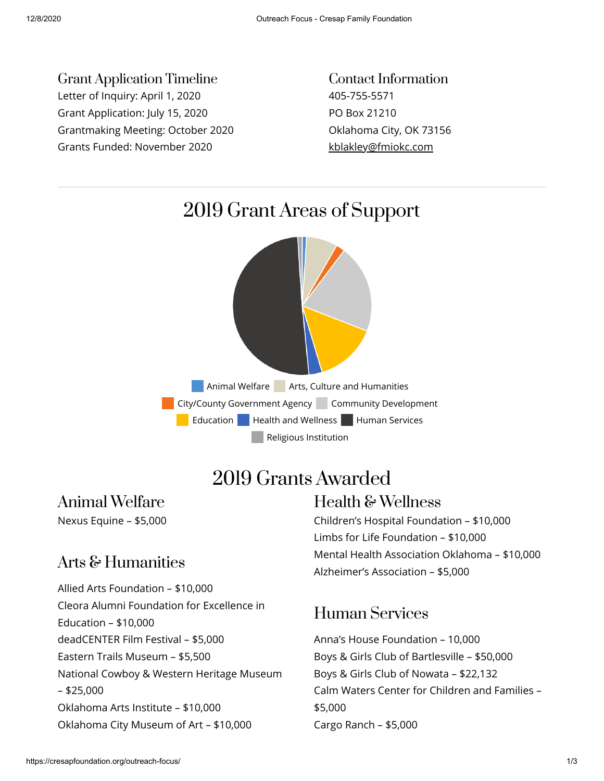Grant Application Timeline Letter of Inquiry: April 1, 2020 Grant Application: July 15, 2020 Grantmaking Meeting: October 2020 Grants Funded: November 2020

Contact Information 405-755-5571 PO Box 21210 Oklahoma City, OK 73156 [kblakley@fmiokc.com](mailto:kblakley@fmiokc.com)



# 2019 Grants Awarded

## Animal Welfare

Nexus Equine – \$5,000

#### Arts & Humanities

Allied Arts Foundation – \$10,000 Cleora Alumni Foundation for Excellence in Education – \$10,000 deadCENTER Film Festival – \$5,000 Eastern Trails Museum – \$5,500 National Cowboy & Western Heritage Museum – \$25,000 Oklahoma Arts Institute – \$10,000 Oklahoma City Museum of Art – \$10,000

#### Health & Wellness

Children's Hospital Foundation – \$10,000 Limbs for Life Foundation – \$10,000 Mental Health Association Oklahoma – \$10,000 Alzheimer's Association – \$5,000

#### Human Services

Anna's House Foundation – 10,000 Boys & Girls Club of Bartlesville – \$50,000 Boys & Girls Club of Nowata – \$22,132 Calm Waters Center for Children and Families – \$5,000 Cargo Ranch – \$5,000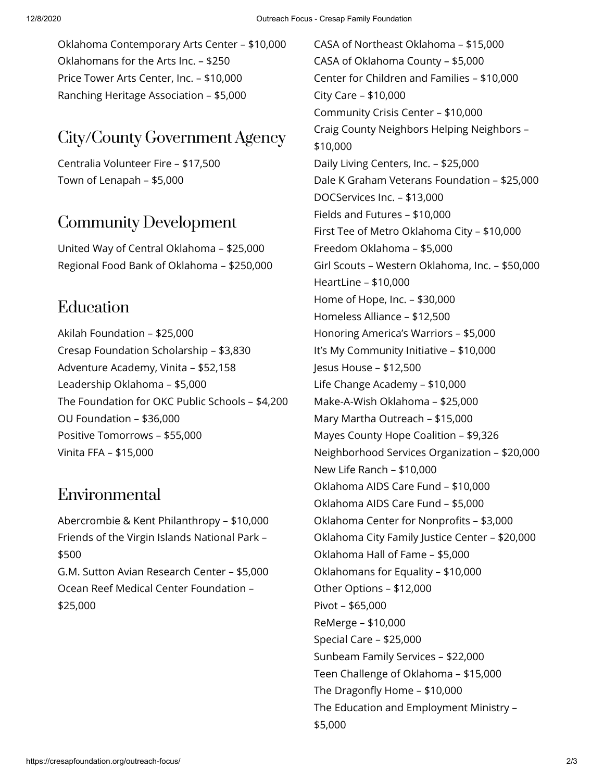Oklahoma Contemporary Arts Center – \$10,000 Oklahomans for the Arts Inc. – \$250 Price Tower Arts Center, Inc. – \$10,000 Ranching Heritage Association – \$5,000

## City/County Government Agency

Centralia Volunteer Fire – \$17,500 Town of Lenapah – \$5,000

#### Community Development

United Way of Central Oklahoma – \$25,000 Regional Food Bank of Oklahoma – \$250,000

#### Education

Akilah Foundation – \$25,000 Cresap Foundation Scholarship – \$3,830 Adventure Academy, Vinita – \$52,158 Leadership Oklahoma – \$5,000 The Foundation for OKC Public Schools – \$4,200 OU Foundation – \$36,000 Positive Tomorrows – \$55,000 Vinita FFA – \$15,000

## Environmental

Abercrombie & Kent Philanthropy – \$10,000 Friends of the Virgin Islands National Park – \$500 G.M. Sutton Avian Research Center – \$5,000 Ocean Reef Medical Center Foundation – \$25,000

CASA of Northeast Oklahoma – \$15,000 CASA of Oklahoma County – \$5,000 Center for Children and Families – \$10,000 City Care – \$10,000 Community Crisis Center – \$10,000 Craig County Neighbors Helping Neighbors – \$10,000 Daily Living Centers, Inc. – \$25,000 Dale K Graham Veterans Foundation – \$25,000 DOCServices Inc. – \$13,000 Fields and Futures – \$10,000 First Tee of Metro Oklahoma City – \$10,000 Freedom Oklahoma – \$5,000 Girl Scouts – Western Oklahoma, Inc. – \$50,000 HeartLine – \$10,000 Home of Hope, Inc. – \$30,000 Homeless Alliance – \$12,500 Honoring America's Warriors – \$5,000 It's My Community Initiative – \$10,000 Jesus House – \$12,500 Life Change Academy – \$10,000 Make-A-Wish Oklahoma – \$25,000 Mary Martha Outreach – \$15,000 Mayes County Hope Coalition – \$9,326 Neighborhood Services Organization – \$20,000 New Life Ranch – \$10,000 Oklahoma AIDS Care Fund – \$10,000 Oklahoma AIDS Care Fund – \$5,000 Oklahoma Center for Nonprofits - \$3,000 Oklahoma City Family Justice Center – \$20,000 Oklahoma Hall of Fame – \$5,000 Oklahomans for Equality – \$10,000 Other Options – \$12,000 Pivot – \$65,000 ReMerge – \$10,000 Special Care – \$25,000 Sunbeam Family Services – \$22,000 Teen Challenge of Oklahoma – \$15,000 The Dragonfly Home  $-$  \$10,000 The Education and Employment Ministry – \$5,000